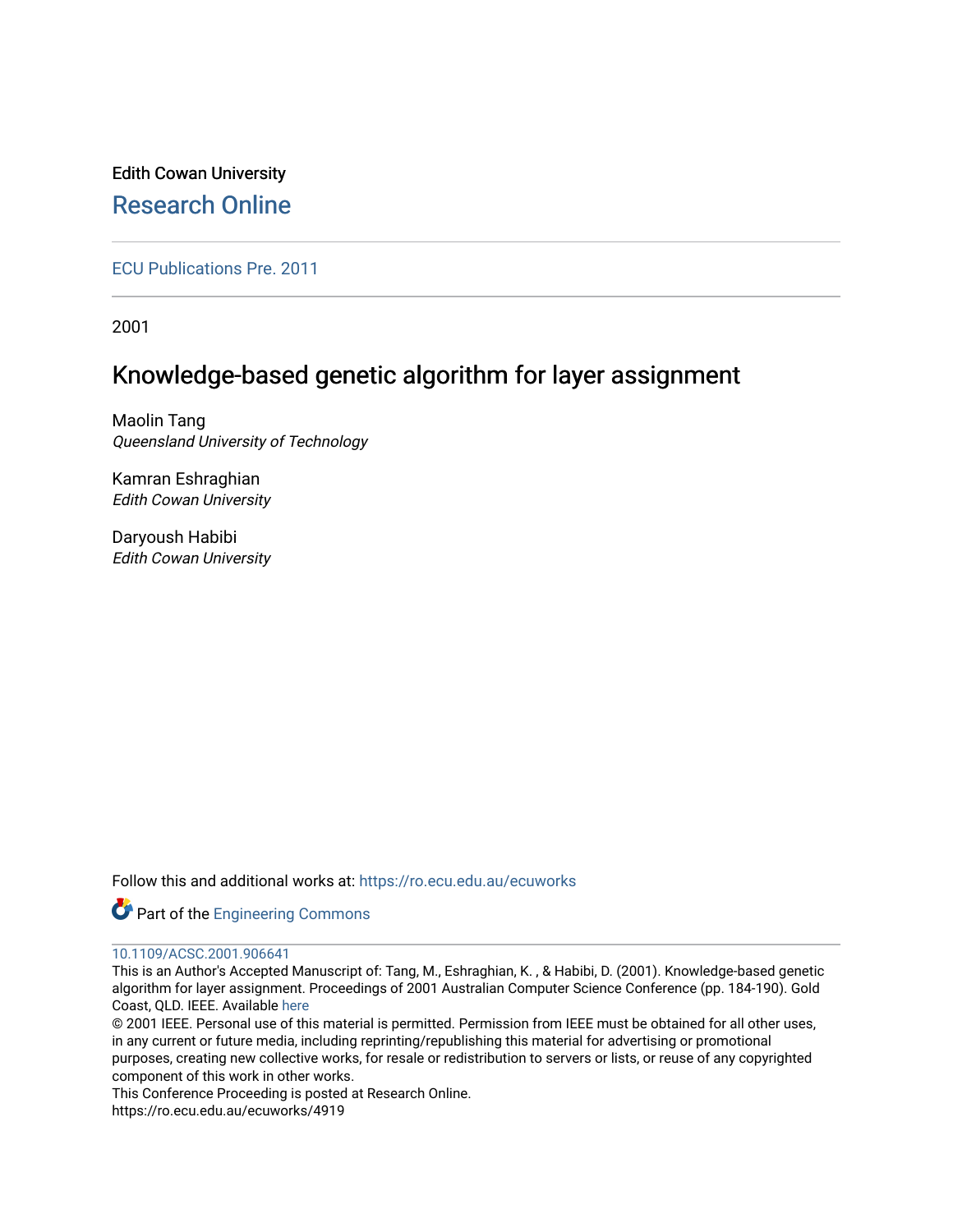## Edith Cowan University [Research Online](https://ro.ecu.edu.au/)

[ECU Publications Pre. 2011](https://ro.ecu.edu.au/ecuworks)

2001

# Knowledge-based genetic algorithm for layer assignment

Maolin Tang Queensland University of Technology

Kamran Eshraghian Edith Cowan University

Daryoush Habibi Edith Cowan University

Follow this and additional works at: [https://ro.ecu.edu.au/ecuworks](https://ro.ecu.edu.au/ecuworks?utm_source=ro.ecu.edu.au%2Fecuworks%2F4919&utm_medium=PDF&utm_campaign=PDFCoverPages) 



## [10.1109/ACSC.2001.906641](http://dx.doi.org/10.1109/ACSC.2001.906641)

This is an Author's Accepted Manuscript of: Tang, M., Eshraghian, K. , & Habibi, D. (2001). Knowledge-based genetic algorithm for layer assignment. Proceedings of 2001 Australian Computer Science Conference (pp. 184-190). Gold Coast, QLD. IEEE. Available [here](http://dx.doi.org/10.1109/ACSC.2001.906641) 

© 2001 IEEE. Personal use of this material is permitted. Permission from IEEE must be obtained for all other uses, in any current or future media, including reprinting/republishing this material for advertising or promotional purposes, creating new collective works, for resale or redistribution to servers or lists, or reuse of any copyrighted component of this work in other works.

This Conference Proceeding is posted at Research Online.

https://ro.ecu.edu.au/ecuworks/4919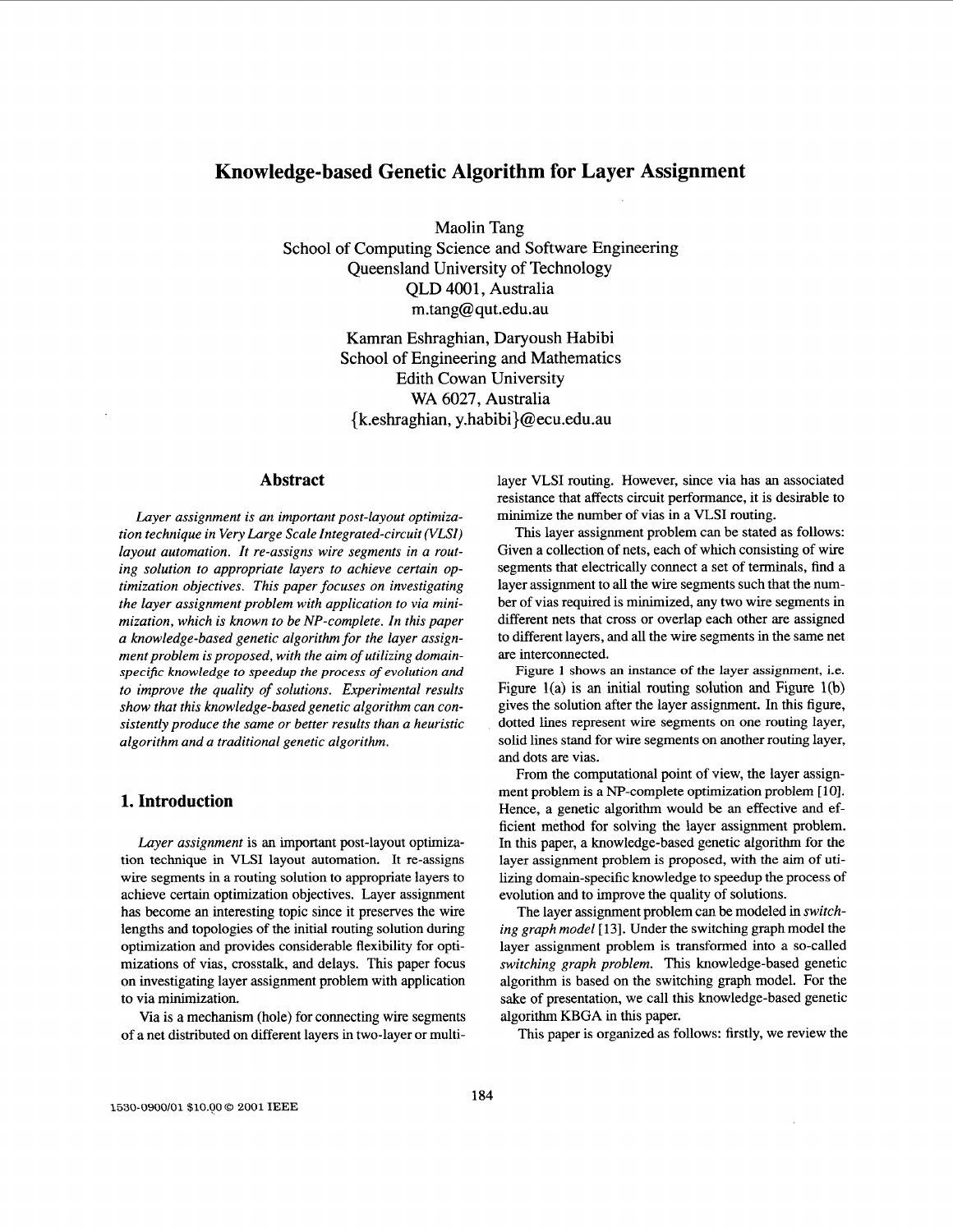## **Knowledge-based Genetic Algorithm for Layer Assignment**

Maolin Tang School of Computing Science and Software Engineering Queensland University of Technology QLD 4001, Australia m. tang@ qut .edu . au

> Kamran Eshraghian, Daryoush Habibi School of Engineering and Mathematics Edith Cowan University WA 6027, Australia { k.eshraghian, y.habibi}@ecu.edu.au

#### **Abstract**

*Layer assignment is an important post-layout optimization technique in Very Large Scale Integrated-circuit (VLSI) layout automation. It re-assigns wire segments in a routing solution to appropriate layers to achieve certain optimization objectives. This paper focuses on investigating the layer assignment problem with application to via minimization, which is known to be NP-complete. In this paper a knowledge-based genetic algorithm for the layer assignment problem is proposed, with the aim of utilizing domainspecijic knowledge to speedup the process of evolution and to improve the quality of solutions. Experimental results show that this knowledge-based genetic algorithm can consistently produce the same or better results than a heuristic algorithm and a traditional genetic algorithm.* 

## **1. Introduction**

*Layer assignment* is an important post-layout optimization technique in VLSI layout automation. It re-assigns wire segments in a routing solution to appropriate layers to achieve certain optimization objectives. Layer assignment has become an interesting topic since it preserves the wire lengths and topologies of the initial routing solution during optimization and provides considerable flexibility for optimizations of vias, crosstalk, and delays. This paper focus on investigating layer assignment problem with application to via minimization.

Via is a mechanism (hole) for connecting wire segments of a net distributed on different layers in two-layer or multilayer VLSI routing. However, since via has an associated resistance that affects circuit performance, it is desirable to minimize the number of vias in a VLSI routing.

This layer assignment problem can be stated as follows: Given a collection **of** nets, each of which consisting of wire segments that electrically connect a set of terminals, find a layer assignment to all the wire segments such that the number of vias required is minimized, any two wire segments in different nets that cross or overlap each other are assigned to different layers, and all the wire segments in the same net are interconnected.

[Figure](#page-2-0) **1** shows an instance *of* the layer assignment, **i.e.**  Figure l(a) **is an** initial routing solution **and** Figure l(b) gives the solution after the layer assignment. In this figure, dotted lines represent wire segments on one routing layer, solid lines stand **for** wire segments on another routing layer, and dots are vias.

From the computational point of view, the layer assignment problem is a NP-complete optimization problem [10]. Hence, a genetic algorithm would be **an** effective and efficient method for solving the layer assignment problem. In this paper, **a** knowledge-based genetic algorithm for the layer assignment problem is proposed, with the aim of utilizing domain-specific knowledge to speedup the process of evolution and to improve the quality of solutions.

The layer assignment problem can be modeled in *switching graph model* **[13].** Under the swiiching graph model the layer assignment problem is transformed into a so-called *switching graph problem.* This knowledge-based genetic algorithm is based on the switching graph model. For the sake of presentation, we call this knowledge-based genetic algorithm **KBGA** in this paper.

This paper is organized as follows: firstly, we review the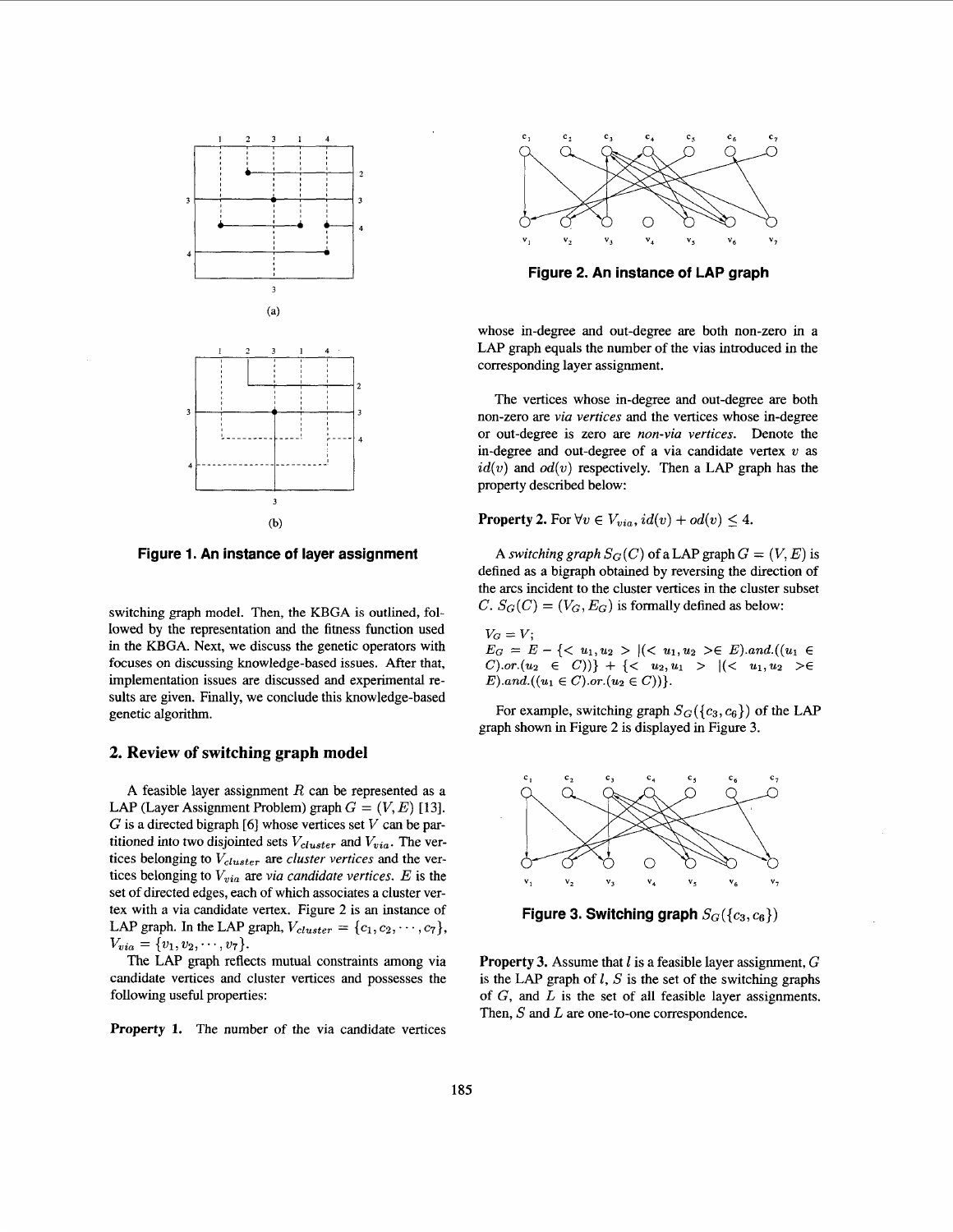<span id="page-2-0"></span>

**Figure 1. An instance of layer assignment** 

switching graph model. Then, the KBGA is outlined, followed by the representation and the fitness function used in the KBGA. Next, we discuss the genetic operators with focuses on discussing knowledge-based issues. After that, implementation issues are discussed and experimental results are given. Finally, we conclude this knowledge-based genetic algorithm.

## **2. Review of switching graph model**

A feasible layer assignment  $R$  can be represented as a LAP (Layer Assignment Problem) graph  $G = (V, E)$  [13].  $G$  is a directed bigraph [6] whose vertices set  $V$  can be partitioned into two disjointed sets  $V_{cluster}$  and  $V_{via}$ . The vertices belonging to *Vcluster* are *cluster vertices* and the vertices belonging to  $V_{via}$  are *via candidate vertices.*  $E$  is the set of directed edges, each of which associates a cluster vertex with a via candidate vertex. Figure 2 is an instance of LAP graph. In the LAP graph,  $V_{cluster} = \{c_1, c_2, \dots, c_7\},\$  $V_{via} = \{v_1, v_2, \cdots, v_7\}.$ 

The LAP graph reflects mutual constraints among via candidate vertices and cluster vertices and possesses the following useful properties:

Property 1. The number of the via candidate vertices



**Figure 2. An instance of LAP graph** 

whose in-degree and out-degree are both non-zero in a LAP graph equals the number of the vias introduced in the corresponding layer assignment.

The vertices whose in-degree and out-degree are both non-zero are *via vertices* and the vertices whose in-degree or out-degree is zero are *non-via vertices.* Denote the in-degree and out-degree of a via candidate vertex *w* as  $id(v)$  and  $od(v)$  respectively. Then a LAP graph has the property described below:

**Property 2.** For  $\forall v \in V_{via}$ ,  $id(v) + od(v) \leq 4$ .

A *switching graph*  $S_G(C)$  of a LAP graph  $G = (V, E)$  is defined as a bigraph obtained by reversing the direction of the arcs incident to the cluster vertices in the cluster subset  $C. S_G(C) = (V_G, E_G)$  is formally defined as below:

 $V_G = V;$  $E_G = E - \{  | (  \in E) . and . ((u_1 \in E) ) \}$  $(C)$ .or. $(u_2 \in C)$ } + {<  $u_2, u_1 > |$  {<  $u_1, u_2 > \in$  $E$ ).and.(( $u_1 \in C$ ).or.( $u_2 \in C$ )).

For example, switching graph  $S_G$ ({ $c_3$ , $c_6$ }) of the LAP graph shown in Figure 2 is displayed in Figure 3.



Figure 3. Switching graph  $S_G({c_3, c_6})$ )

**Property 3.** Assume that *I* is a feasible layer assignment, G is the LAP graph of  $l$ ,  $S$  is the set of the switching graphs of  $G$ , and  $L$  is the set of all feasible layer assignments. Then, *S* and *L* are one-to-one correspondence.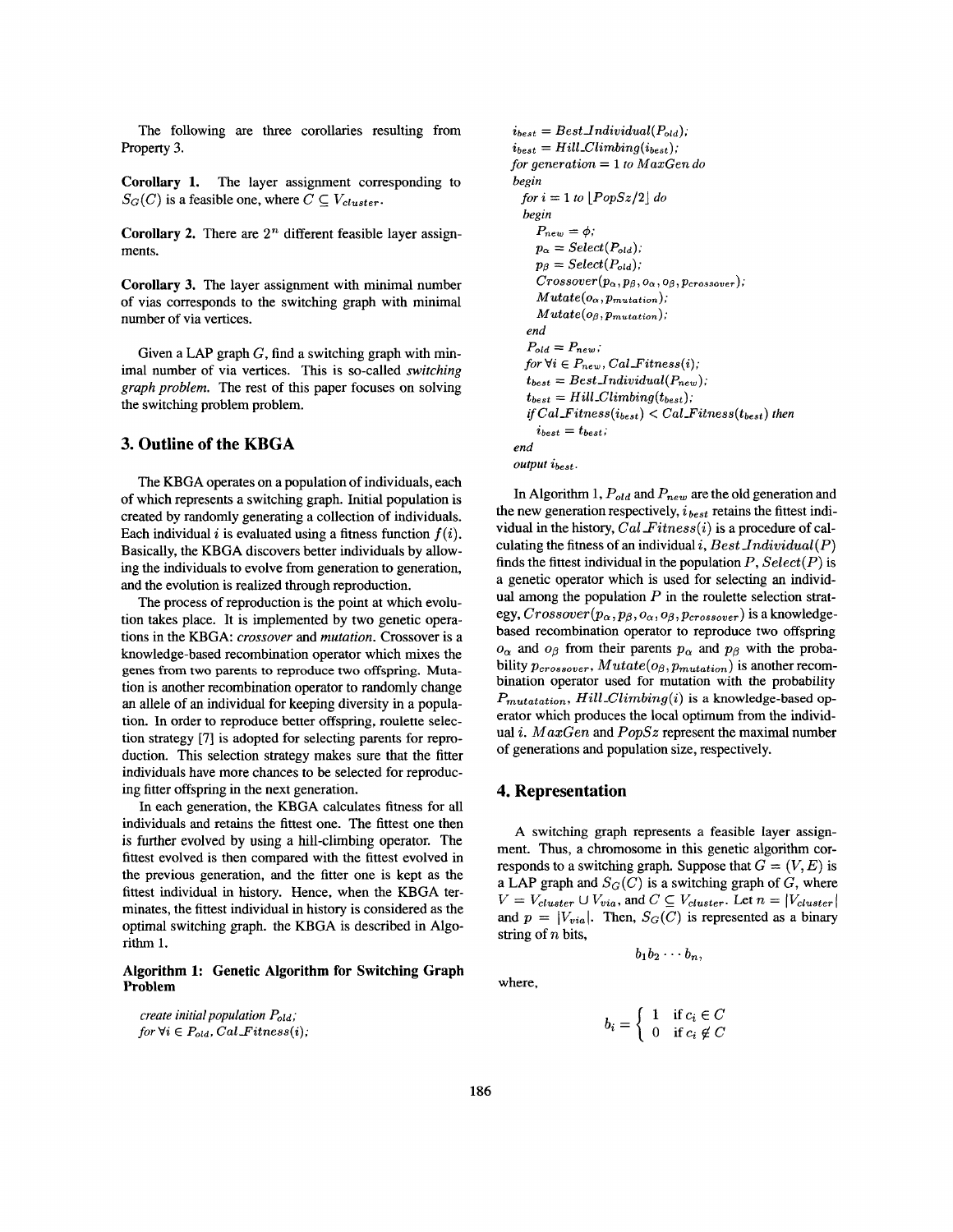The following are three corollaries resulting from Property **3.** 

**Corollary 1.**  The layer assignment corresponding to  $S_G(C)$  is a feasible one, where  $C \subset V_{cluster}$ .

**Corollary 2.** There are **2"** different feasible layer assignments.

**Corollary 3.** The layer assignment with minimal number of vias corresponds to the switching graph with minimal number of via vertices.

Given a LAP graph  $G$ , find a switching graph with minimal number of via vertices. This is so-called *switching graph problem.* The rest of this paper focuses on solving the switching problem problem.

## **3. Outline of the KBGA**

The KBGA operates on a population of individuals, each of which represents a switching graph. Initial population **is**  created by randomly generating a collection **of** individuals. Each individual i is evaluated using a fitness function  $f(i)$ . Basically, the KBGA discovers better individuals by allowing the individuals to evolve from generation to generation, and the evolution is realized through reproduction.

The process of reproduction is the point at which evolution takes place. It is implemented by two genetic operations in the KBGA. *crossover* and *mutation.* Crossover is a knowledge-based recombination operator which mixes the genes **from** two parents to reproduce two offspring. Mutation is another recombination operator to randomly change **an** allele of an individual for keeping diversity in a population. In order to reproduce better offspring, roulette selection strategy [7] is adopted **for** selecting parents for reproduction. This selection strategy makes sure that the fitter individuals have more chances to be selected for reproducing fitter offspring in the next generation.

In each generation, the KBGA calculates fitness for all individuals and retains the fittest one. The fittest one then is further evolved by using a hill-climbing operator. The fittest evolved is then compared with the fittest evolved in the previous generation, and the fitter one is kept as the fittest individual in history. Hence, when the KBGA terminates, the fittest individual in history is considered as the optimal switching graph. the KBGA is described in Algo**rithm** l.

#### **Algorithm 1: Genetic Algorithm for Switching Graph Problem**

*create initial population Pold; for*  $\forall i \in P_{old}$ *, Cal\_Fitness(i);* 

 $i_{best} = Best\_Individual(P_{old});$  $i_{best} = Hill\_Climbing(i_{best});$ *for generation* = *1 to MaxGen do begin for*  $i = 1$  *to*  $|PopSz/2|$  *do begin*   $P_{new} = \phi$ ;  $p_{\alpha} = Select(P_{old});$  $p_{\beta} = Select(P_{old});$  $Crossover(p_{\alpha}, p_{\beta}, o_{\alpha}, o_{\beta}, p_{crossover});$  $\mathit{Mutate}(o_\alpha, p_{mutation});$ *Mutate(og,pmutation); end for*  $\forall i \in P_{new}$ , *Cal\_Fitness(i);*  $t_{best} = Best\_Individual(P_{new});$  $ifCal\_Fitness(i_{best}) < Cal\_Fitness(t_{best})$  *then*  $P_{old} = P_{new}$ ;  $t_{best} = Hill\_Climbing(t_{best});$  $i_{best} = t_{best}$ ; *end*   $output$   $i_{best}$ .

In Algorithm 1,  $P_{old}$  and  $P_{new}$  are the old generation and the new generation respectively, *i best* retains the fittest individual in the history,  $Cal\text{ }Fitness(i)$  is a procedure of calculating the fitness of an individual *i*,  $Best\_Individual(P)$ finds the fittest individual in the population  $P$ ,  $Select(P)$  is a genetic operator which is used for selecting an individual among the population  $P$  in the roulette selection strategy, *Crossover*( $p_{\alpha}$ ,  $p_{\beta}$ ,  $o_{\alpha}$ ,  $o_{\beta}$ ,  $p_{crossover}$ ) is a knowledgebased recombination operator to reproduce two offspring  $o_{\alpha}$  and  $o_{\beta}$  from their parents  $p_{\alpha}$  and  $p_{\beta}$  with the probability  $p_{crossover}$ ,  $Mutate(o_\beta, p_{mutation})$  is another recombination operator used for mutation with the probability *Pmutatation, Hill-Climbing(i)* **is a** knowledge-based operator which produces the local optimum from the individual *i. MazGen* and *PopSz* represent the maximal number of generations and population size, respectively.

#### **4. Representation**

A switching graph represents a feasible layer assignment. Thus, a chromosome in this genetic algorithm corresponds to a switching graph. Suppose that  $G = (V, E)$  is a LAP graph and  $S_G(C)$  is a switching graph of *G*, where and  $p = |V_{via}|$ . Then,  $S_G(C)$  is represented as a binary string of *n* bits,  $V = V_{cluster} \cup V_{via}$ , and  $C \subseteq V_{cluster}$ . Let  $n = |V_{cluster}|$ 

 $b_1b_2\cdots b_n$ ,

where,

$$
b_i = \left\{ \begin{array}{ll} 1 & \text{if } c_i \in C \\ 0 & \text{if } c_i \notin C \end{array} \right.
$$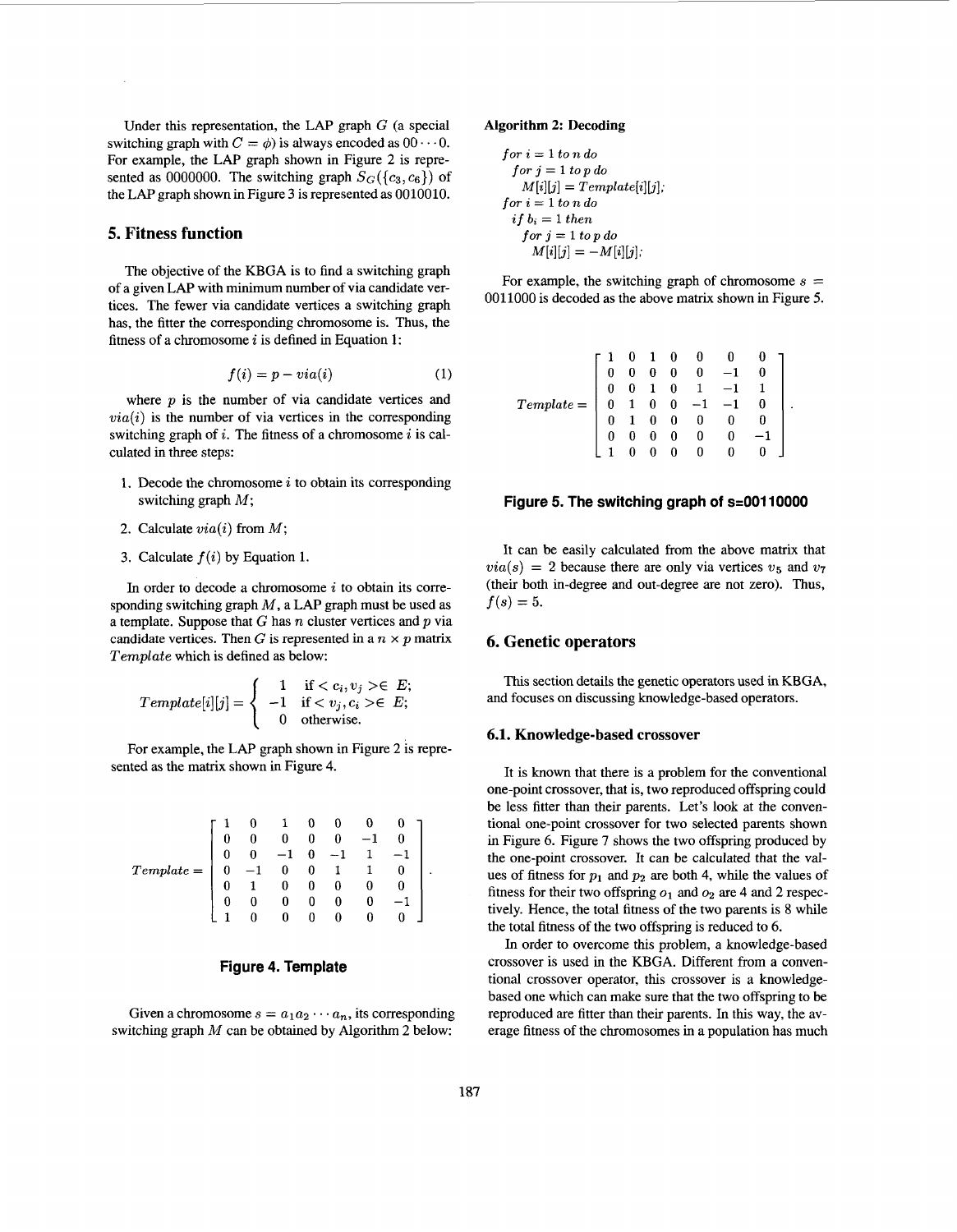Under this representation, the LAP graph  $G$  (a special switching graph with  $C = \phi$ ) is always encoded as  $00 \cdots 0$ . For example, the LAP graph shown in [Figure 2](#page-2-0) is represented as 0000000. The switching graph  $S_G({c_3, c_6})$  of the LAP graph shown in [Figure 3](#page-2-0) is represented as 0010010.

## **5. Fitness function**

The objective of the KBGA is to find a switching graph of a given LAP with minimum number of via candidate vertices. The fewer via candidate vertices a switching graph has, the fitter the corresponding chromosome is. Thus, the fitness of a chromosome *i* is defined in Equation 1:

$$
f(i) = p - via(i) \tag{1}
$$

where *p* is the number of via candidate vertices and  $via(i)$  is the number of via vertices in the corresponding switching graph of *i.* The fitness of a chromosome *i* is calculated in three steps:

- 1. Decode the chromosome *i* to obtain its corresponding switching graph  $M$ ;
- 2. Calculate *via(i)* from M;
- 3. Calculate  $f(i)$  by Equation 1.

In order to decode a chromosome *i* to obtain its corresponding switching graph  $M$ , a LAP graph must be used as a template. Suppose that G has *n* cluster vertices and p via candidate vertices. Then G is represented in a  $n \times p$  matrix *Template* which is defined as below:

$$
Template[i][j] = \begin{cases} 1 & \text{if } < c_i, v_j > \in E; \\ -1 & \text{if } < v_j, c_i > \in E; \\ 0 & \text{otherwise.} \end{cases}
$$

For example, the LAP graph shown in [Figure 2](#page-2-0) is represented as the matrix shown in Figure 4.

| $Temple =$ |  |  |             |  |  |
|------------|--|--|-------------|--|--|
|            |  |  |             |  |  |
|            |  |  |             |  |  |
|            |  |  | $0 \quad 0$ |  |  |

## **Figure 4. Template**

Given a chromosome  $s = a_1 a_2 \cdots a_n$ , its corresponding switching graph *M* can be obtained by Algorithm 2 below:

#### **Algorithm 2: Decoding**

$$
for i = 1 to n do
$$
  
\n
$$
for j = 1 to p do
$$
  
\n
$$
M[i][j] = Template[i][j];
$$
  
\n
$$
for i = 1 to n do
$$
  
\n
$$
if b_i = 1 then
$$
  
\n
$$
for j = 1 to p do
$$
  
\n
$$
M[i][j] = -M[i][j];
$$

For example, the switching graph of chromosome  $s =$ 0011000 is decoded as the above matrix shown in Figure 5.

| $\textit{Template} = \left[ \begin{array}{ccccccc} 1 & 0 & 1 & 0 & 0 & 0 \ 0 & 0 & 0 & 0 & 0 & -1 \ 0 & 0 & 1 & 0 & 1 & -1 \ 0 & 1 & 0 & 0 & -1 & -1 \ 0 & 1 & 0 & 0 & 0 & 0 \ 0 & 0 & 0 & 0 & 0 & 0 \ 1 & 0 & 0 & 0 & 0 & 0 \end{array} \right]$ |  |  |  |  |
|---------------------------------------------------------------------------------------------------------------------------------------------------------------------------------------------------------------------------------------------------|--|--|--|--|
|                                                                                                                                                                                                                                                   |  |  |  |  |
|                                                                                                                                                                                                                                                   |  |  |  |  |
|                                                                                                                                                                                                                                                   |  |  |  |  |
|                                                                                                                                                                                                                                                   |  |  |  |  |
|                                                                                                                                                                                                                                                   |  |  |  |  |
|                                                                                                                                                                                                                                                   |  |  |  |  |

#### **Figure 5. The switching graph of s=00110000**

It can be easily calculated from the above matrix that  $via(s) = 2$  because there are only via vertices  $v_5$  and  $v_7$ (their both in-degree and out-degree are not zero). Thus,  $f(s) = 5.$ 

#### **6. Genetic operators**

This section details the genetic operators used in KBGA, and focuses on discussing knowledge-based operators.

#### **6.1. Knowledge-based crossover**

It is known that there is a problem for the conventional one-point crossover, that is, two reproduced offspring could be less fitter than their parents. Let's look at the conventional one-point crossover for two selected parents shown in [Figure 6.](#page-5-0) Figure 7 shows the two offspring produced by the one-point crossover. It can be calculated that the values of fitness for  $p_1$  and  $p_2$  are both 4, while the values of fitness for their two offspring  $o_1$  and  $o_2$  are 4 and 2 respectively. Hence, the total fitness of the two parents is **8** while the total fitness of the two offspring is reduced to 6.

In order to overcome this problem, a knowledge-based crossover is used in the KBGA. Different from a conventional crossover operator, this crossover is a knowledgebased one which can make sure that the two offspring to be reproduced are fitter than their parents. In this way, the average fitness of the chromosomes in a population has much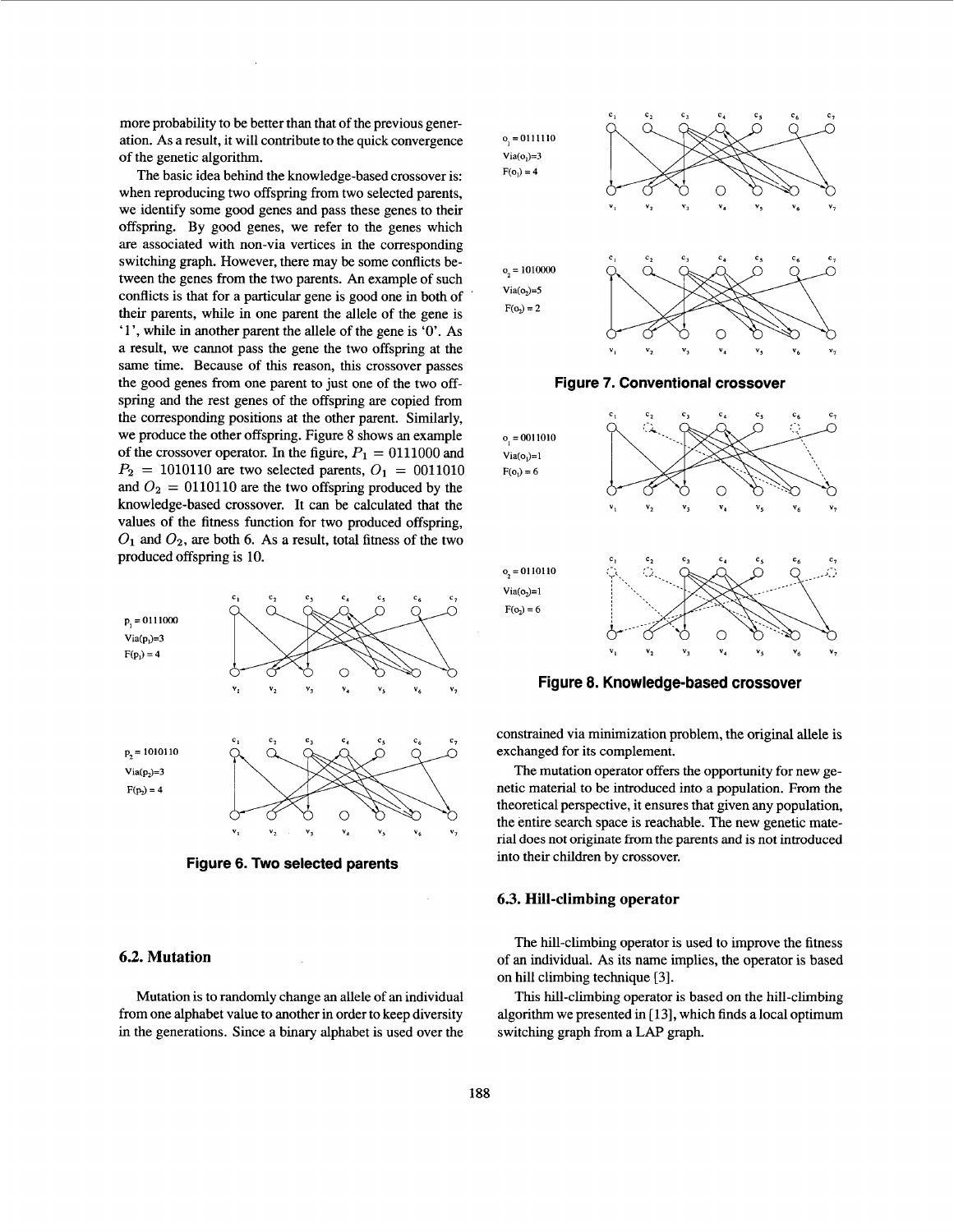<span id="page-5-0"></span>more probability to be better than that of the previous generation. As a result, it will contribute to the quick convergence **of** the genetic algorithm.

The basic idea behind the knowledge-based crossover is: when reproducing two offspring from two selected parents, we identify some good genes and pass these genes to their offspring. By good genes, we refer to the genes which are associated with non-via vertices in the corresponding switching graph. However, there may be some conflicts between the genes from the two parents. An example of such conflicts is that for a particular gene is good one in both of their parents, while in one parent the allele of the gene is '1', while in another parent the allele of the gene is '0'. As a result, we cannot pass the gene the two offspring at the same time. Because of this reason, this crossover passes the good genes from one parent to just one **of** the two offspring and the rest genes of the offspring are copied from the corresponding positions at the other parent. Similarly, we produce the other offspring. Figure **8** shows an example of the crossover operator. In the figure,  $P_1 = 0111000$  and  $P_2 = 1010110$  are two selected parents,  $O_1 = 0011010$ and  $O_2 = 0110110$  are the two offspring produced by the knowledge-based crossover. It can be calculated that the values of the fitness function for two produced offspring,  $O_1$  and  $O_2$ , are both 6. As a result, total fitness of the two produced offspring is 10.



**Figure 6. Two selected parents** 

### **6.2. Mutation**

Mutation is **to** randomly change an allele of an individual from one alphabet value to another in order to keep diversity in the generations. Since a binary alphabet is used over the





**Figure 8. Knowledge-based crossover** 

constrained via minimization problem, the original allele is exchanged for its complement.

The mutation operator offers the opportunity for new genetic material to be introduced into a population. From the theoretical perspective, it ensures that given any population, the entire search space is reachable. The new genetic material does not originate from the parents and **is** not introduced into their children by crossover.

#### **6.3. Hill-climbing operator**

The hill-climbing operator is used to improve the fitness of an individual. As its name implies, the operator is based on hill climbing technique [3].

This hill-climbing operator is based on the hill-climbing algorithm we presented in [ 131, which finds a local optimum switching graph from a LAP graph.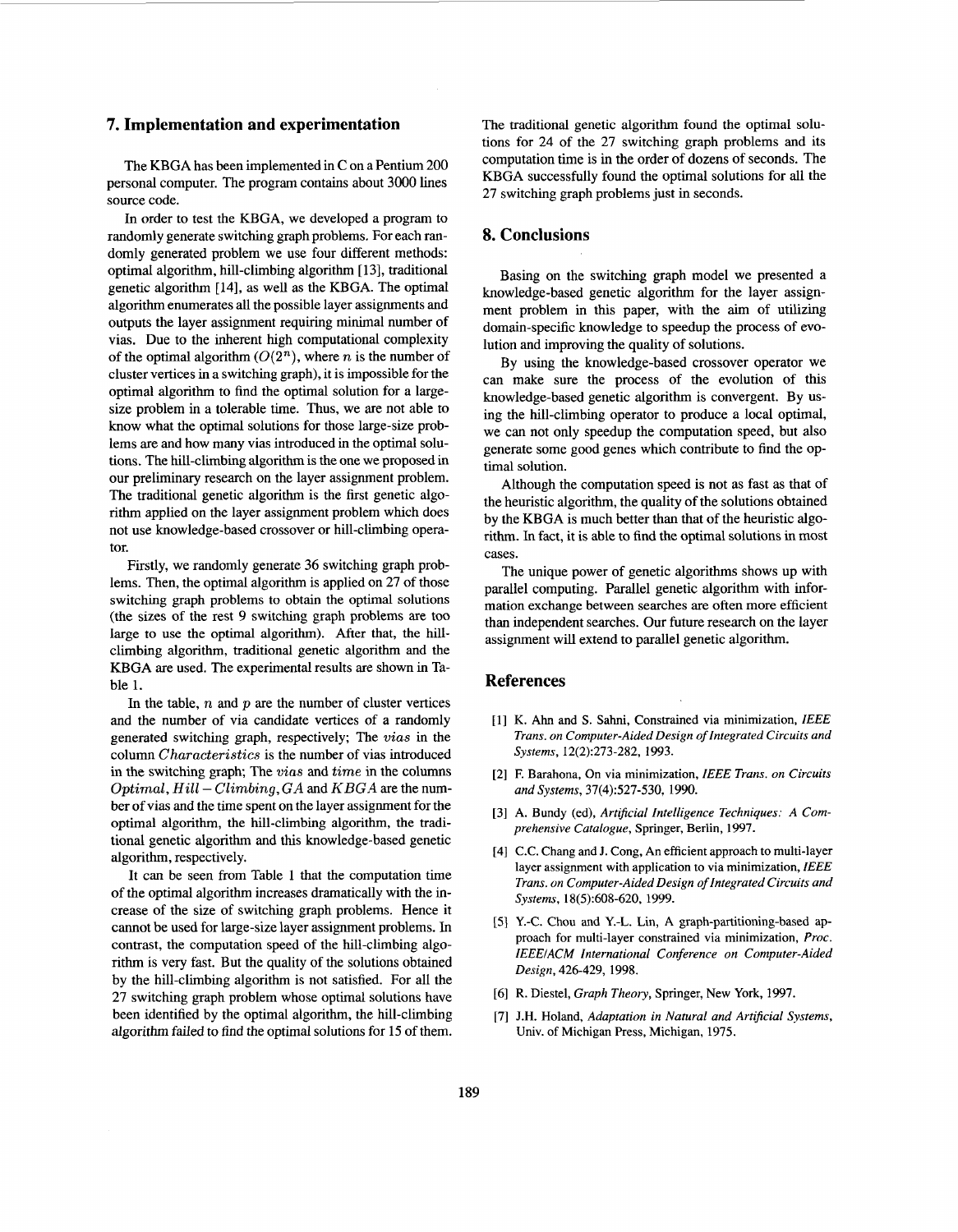## **7. Implementation and experimentation**

The KBGA has been implemented in *C* on a Pentium 200 personal computer. The program contains about 3000 lines source code.

In order to test the KBGA, we developed a program to randomly generate switching graph problems. For each randomly generated problem we use four different methods: optimal algorithm, hill-climbing algorithm [ **131,** traditional genetic algorithm [14], as well as the KBGA. The optimal algorithm enumerates all the possible layer assignments and outputs the layer assignment requiring minimal number of vias. Due to the inherent high computational complexity of the optimal algorithm  $(O(2^n))$ , where *n* is the number of cluster vertices in a switching graph), it is impossible for the optimal algorithm to find the optimal solution for a largesize problem in a tolerable time. Thus, we are not able to know what the optimal solutions for those large-size problems are and how many vias introduced in the optimal solutions. The hill-climbing algorithm is the one we proposed in our preliminary research on the layer assignment problem. The traditional genetic algorithm is the first genetic algorithm applied on the layer assignment problem which does not use knowledge-based crossover or hill-climbing operator.

Firstly, we randomly generate **36** switching graph problems. Then, the optimal algorithm is applied on 27 of those switching graph problems to obtain the optimal solutions (the sizes of the rest **9** switching graph problems are too large **to** use the optimal algorithm). After that, the hillclimbing algorithm, traditional genetic algorithm and the KBGA are used. The experimental results are shown in Table l.

In the table, *n* and *p* are the number of cluster vertices and the number of via candidate vertices of a randomly generated switching graph, respectively; The *vias* in the column *Characteristics* is the number of vias introduced in the switching graph, The *vias* and *time* in the columns *Optimal, Hill* - *Climbing, GA* and *KBGA* are the number of vias and the time spent on the layer assignment for the optimal algorithm, the hill-climbing algorithm, the traditional genetic algorithm and this knowledge-based genetic algorithm, respectively.

It can be seen from Table 1 that the computation time of the optimal algorithm increases dramatically with the increase of the size of switching graph problems. Hence it cannot be used for large-size layer assignment problems. **In**  contrast, the computation speed of the hill-climbing algorithm is very fast. But the quality of the solutions obtained by the hill-climbing algorithm is not satisfied. For all the 27 switching graph problem whose optimal solutions have been identified by the optimal algorithm, the hill-climbing algorithm failed to find the optimal solutions for 15 of them. The traditional genetic algorithm found the optimal solutions for 24 of the 27 switching graph problems and its computation time is in the order of dozens of seconds. The KBGA successfully found the optimal solutions for all the 27 switching graph problems just in seconds.

## **8. Conclusions**

Basing on the switching graph model we presented a knowledge-based genetic algorithm for the layer assignment problem in this paper, with the aim of utilizing domain-specific knowledge to speedup the process of evolution and improving the quality of solutions.

By using the knowledge-based crossover operator we can make sure the process of the evolution of this knowledge-based genetic algorithm is convergent. By using the hill-climbing operator to produce a local optimal, we can not only speedup the computation speed, but also generate some good genes which contribute to find the optimal solution.

Although the computation speed is not as fast as that of the heuristic algorithm, the quality of the solutions obtained by the KBGA is much better than that of the heuristic algorithm. In fact, it is able to find the optimal solutions in most cases.

The unique power of genetic algorithms shows up with parallel computing. Parallel genetic algorithm with mformation exchange between searches are often more efficient than independent searches. Our future research on the layer assignment will extend to parallel genetic algorithm.

#### **References**

- [1] K. Ahn and S. Sahni, Constrained via minimization, *IEEE Trans. on Computer-Aided Design of Integrated Circuits and Systems,* 12(2):273-282, 1993.
- [2] **E** Barahona, On via minimization, *IEEE Trans. on Circuits and Systems,* 37(4):527-530, 1990.
- *prehensive Catalogue,* Springer, Berlin, 1997. [3] A. Bundy (ed), *Artificial Intelligence Techniques: A Com-*
- [4] C.C. Chang and J. Cong, **An** efficient approach to multi-layer layer assignment with application to via minimization, *IEEE Trans. on Computer-Aided Design of Integrated Circuits and Systems,* 18(5):608-620, *1999.*
- [5] Y.-C. Chou and Y.-L. Lin, **A** graph-partitioning-based approach for multi-layer constrained via minimization, *Proc. IEEEIACM International Conference* on *Computer-Aided Design,* 426-429, 1998.
- *[6]* **R.** Diestel, *Graph Theory,* Springer, New York, 1997.
- 171 J.H. Holand, *Adaptation in Natural and Artificial Systems,*  Univ. of Michigan Press, Michigan, 1975.